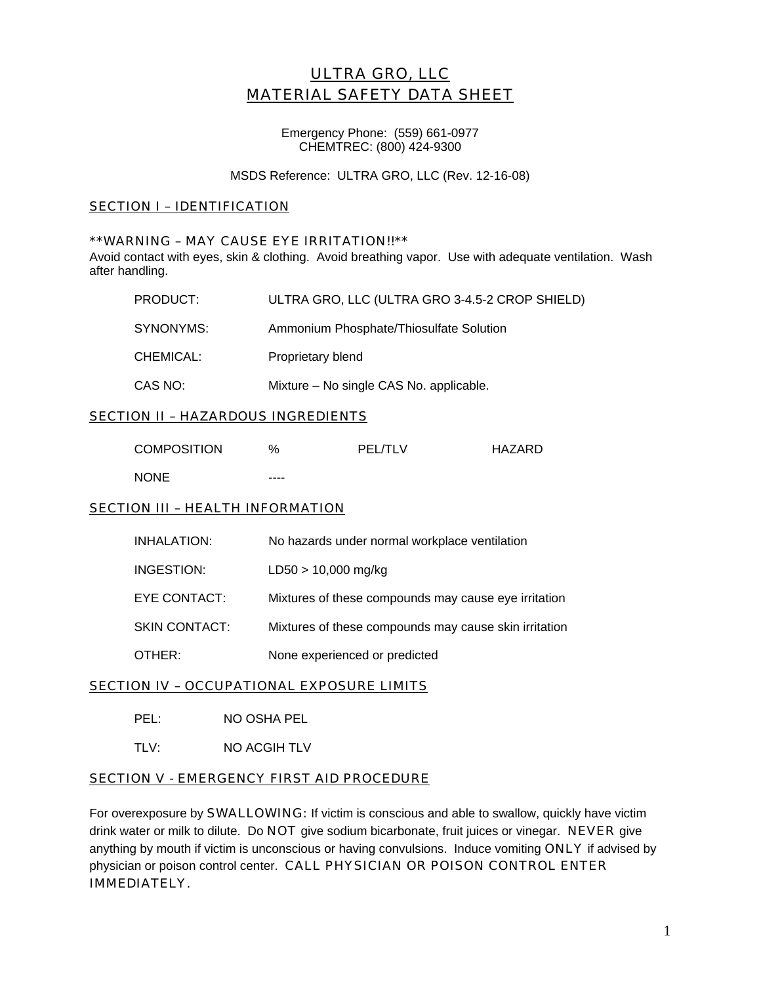# ULTRA GRO, LLC MATERIAL SAFETY DATA SHEET

Emergency Phone: (559) 661-0977 CHEMTREC: (800) 424-9300

MSDS Reference: ULTRA GRO, LLC (Rev. 12-16-08)

# SECTION I – IDENTIFICATION

### \*\*WARNING – MAY CAUSE EYE IRRITATION!!\*\*

Avoid contact with eyes, skin & clothing. Avoid breathing vapor. Use with adequate ventilation. Wash after handling.

| PRODUCT:  | ULTRA GRO, LLC (ULTRA GRO 3-4.5-2 CROP SHIELD) |
|-----------|------------------------------------------------|
| SYNONYMS: | Ammonium Phosphate/Thiosulfate Solution        |
| CHEMICAL: | Proprietary blend                              |
| CAS NO:   | Mixture – No single CAS No. applicable.        |

## SECTION II – HAZARDOUS INGREDIENTS

| <b>COMPOSITION</b> | $\%$ | <b>PEL/TLV</b> | HAZARD |
|--------------------|------|----------------|--------|
| <b>NONE</b>        | ---- |                |        |

### **SECTION III - HEALTH INFORMATION**

| INHALATION:          | No hazards under normal workplace ventilation         |
|----------------------|-------------------------------------------------------|
| INGESTION:           | $LD50 > 10,000$ mg/kg                                 |
| EYE CONTACT:         | Mixtures of these compounds may cause eye irritation  |
| <b>SKIN CONTACT:</b> | Mixtures of these compounds may cause skin irritation |
| OTHER:               | None experienced or predicted                         |

### **SECTION IV - OCCUPATIONAL EXPOSURE LIMITS**

TLV: NO ACGIH TLV

## SECTION V - EMERGENCY FIRST AID PROCEDURE

For overexposure by **SWALLOWING:** If victim is conscious and able to swallow, quickly have victim drink water or milk to dilute. Do NOT give sodium bicarbonate, fruit juices or vinegar. NEVER give anything by mouth if victim is unconscious or having convulsions. Induce vomiting ONLY if advised by physician or poison control center. CALL PHYSICIAN OR POISON CONTROL ENTER IMMEDIATELY.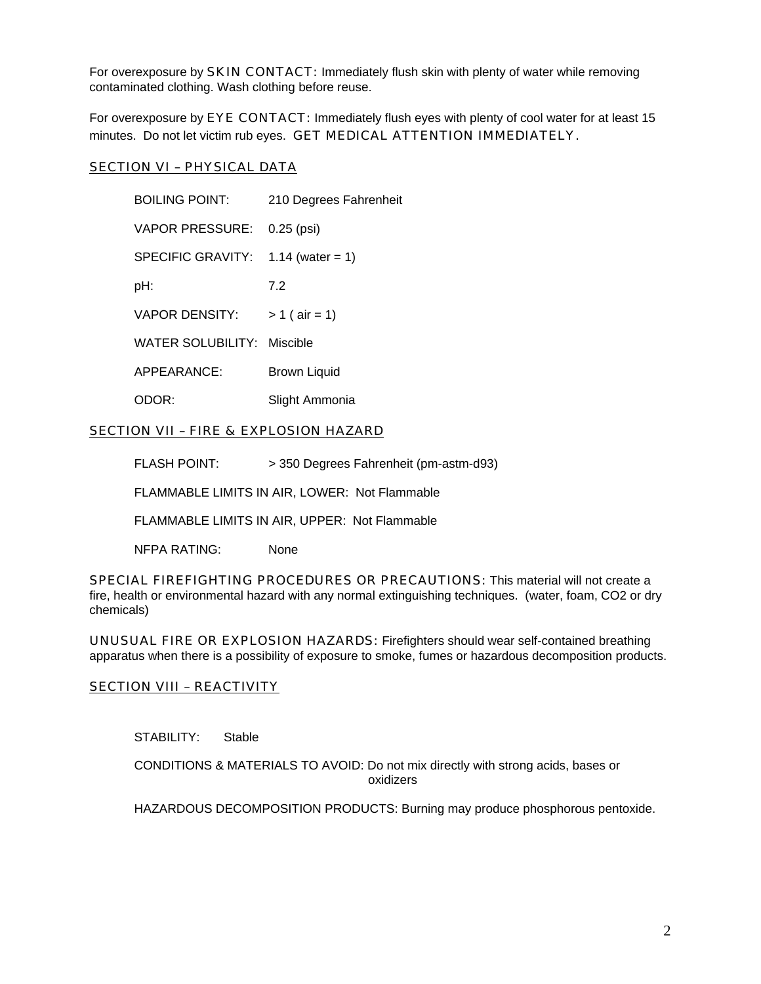For overexposure by **SKIN CONTACT:** Immediately flush skin with plenty of water while removing contaminated clothing. Wash clothing before reuse.

For overexposure by EYE CONTACT: Immediately flush eyes with plenty of cool water for at least 15 minutes. Do not let victim rub eyes. GET MEDICAL ATTENTION IMMEDIATELY.

## SECTION VI – PHYSICAL DATA

 BOILING POINT: 210 Degrees Fahrenheit VAPOR PRESSURE: 0.25 (psi) SPECIFIC GRAVITY: 1.14 (water = 1) pH: 7.2 VAPOR DENSITY:  $> 1$  ( air = 1) WATER SOLUBILITY: Miscible APPEARANCE: Brown Liquid ODOR: Slight Ammonia

# SECTION VII – FIRE & EXPLOSION HAZARD

FLASH POINT: > 350 Degrees Fahrenheit (pm-astm-d93)

FLAMMABLE LIMITS IN AIR, LOWER: Not Flammable

FLAMMABLE LIMITS IN AIR, UPPER: Not Flammable

NFPA RATING: None

SPECIAL FIREFIGHTING PROCEDURES OR PRECAUTIONS: This material will not create a fire, health or environmental hazard with any normal extinguishing techniques. (water, foam, CO2 or dry chemicals)

UNUSUAL FIRE OR EXPLOSION HAZARDS: Firefighters should wear self-contained breathing apparatus when there is a possibility of exposure to smoke, fumes or hazardous decomposition products.

### **SECTION VIII - REACTIVITY**

STABILITY: Stable

 CONDITIONS & MATERIALS TO AVOID: Do not mix directly with strong acids, bases or oxidizers

HAZARDOUS DECOMPOSITION PRODUCTS: Burning may produce phosphorous pentoxide.